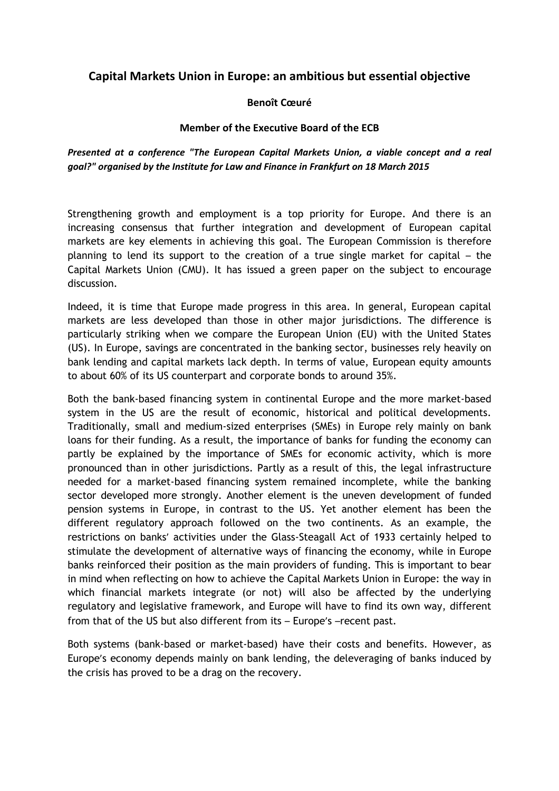# **Capital Markets Union in Europe: an ambitious but essential objective**

## **Benoît Cœuré**

#### **Member of the Executive Board of the ECB**

*Presented at a conference "The European Capital Markets Union, a viable concept and a real goal?" organised by the Institute for Law and Finance in Frankfurt on 18 March 2015* 

Strengthening growth and employment is a top priority for Europe. And there is an increasing consensus that further integration and development of European capital markets are key elements in achieving this goal. The European Commission is therefore planning to lend its support to the creation of a true single market for capital – the Capital Markets Union (CMU). It has issued a green paper on the subject to encourage discussion.

Indeed, it is time that Europe made progress in this area. In general, European capital markets are less developed than those in other major jurisdictions. The difference is particularly striking when we compare the European Union (EU) with the United States (US). In Europe, savings are concentrated in the banking sector, businesses rely heavily on bank lending and capital markets lack depth. In terms of value, European equity amounts to about 60% of its US counterpart and corporate bonds to around 35%.

Both the bank-based financing system in continental Europe and the more market-based system in the US are the result of economic, historical and political developments. Traditionally, small and medium-sized enterprises (SMEs) in Europe rely mainly on bank loans for their funding. As a result, the importance of banks for funding the economy can partly be explained by the importance of SMEs for economic activity, which is more pronounced than in other jurisdictions. Partly as a result of this, the legal infrastructure needed for a market-based financing system remained incomplete, while the banking sector developed more strongly. Another element is the uneven development of funded pension systems in Europe, in contrast to the US. Yet another element has been the different regulatory approach followed on the two continents. As an example, the restrictions on banks' activities under the Glass-Steagall Act of 1933 certainly helped to stimulate the development of alternative ways of financing the economy, while in Europe banks reinforced their position as the main providers of funding. This is important to bear in mind when reflecting on how to achieve the Capital Markets Union in Europe: the way in which financial markets integrate (or not) will also be affected by the underlying regulatory and legislative framework, and Europe will have to find its own way, different from that of the US but also different from its – Europe's –recent past.

Both systems (bank-based or market-based) have their costs and benefits. However, as Europe's economy depends mainly on bank lending, the deleveraging of banks induced by the crisis has proved to be a drag on the recovery.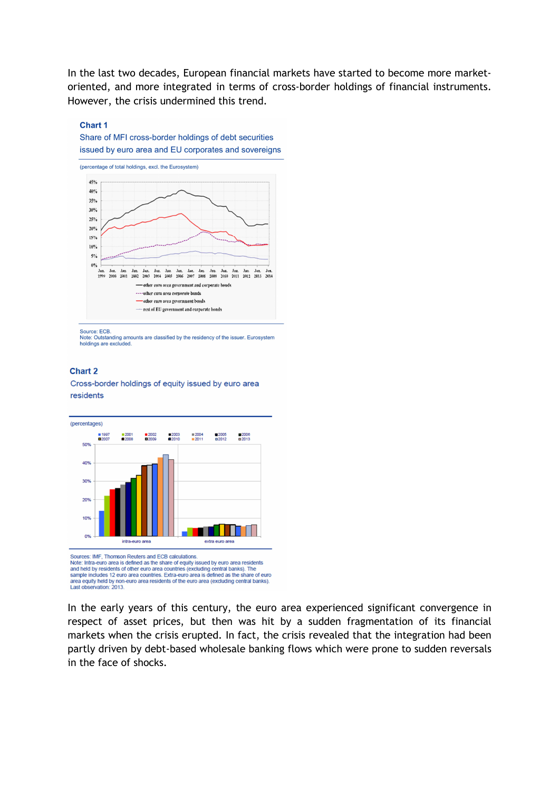In the last two decades, European financial markets have started to become more marketoriented, and more integrated in terms of cross-border holdings of financial instruments. However, the crisis undermined this trend.

#### **Chart 1**

Share of MFI cross-border holdings of debt securities issued by euro area and EU corporates and sovereigns



Source: ECB.<br>Note: Outstanding amounts are classified by the residency of the issuer. Eurosystem<br>holdings are excluded.

#### **Chart 2**

Cross-border holdings of equity issued by euro area residents



Sources: IMF, Thomson Reuters and ECB calculations. Note: Intra-euro area is defined as the share of equity issued by euro area residents Note, intervals and held by residents of other euro area countries (excluding central banks). The sample includes 12 euro area countries. Extra-euro area is defined as the share of euro area equity held by non-euro area re Last observation: 2013

In the early years of this century, the euro area experienced significant convergence in respect of asset prices, but then was hit by a sudden fragmentation of its financial markets when the crisis erupted. In fact, the crisis revealed that the integration had been partly driven by debt-based wholesale banking flows which were prone to sudden reversals in the face of shocks.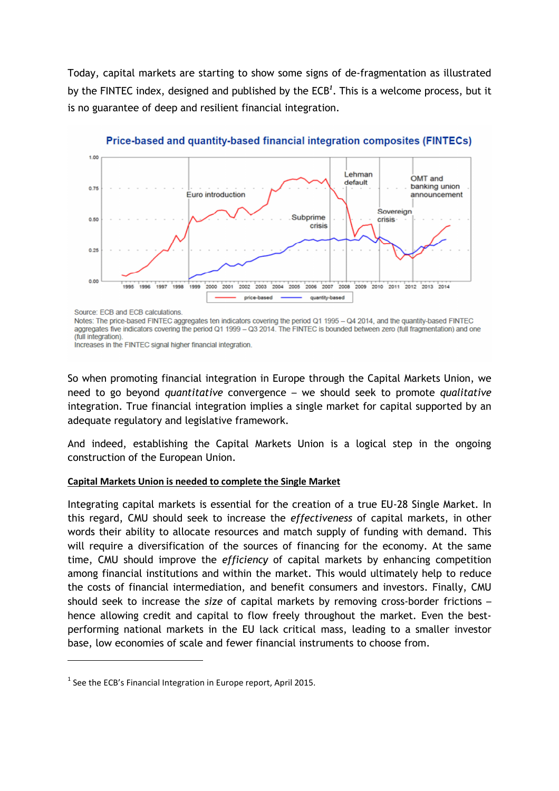Today, capital markets are starting to show some signs of de-fragmentation as illustrated by the FINTEC index, designed and published by the ECB*<sup>1</sup>* . This is a welcome process, but it is no guarantee of deep and resilient financial integration.



Price-based and quantity-based financial integration composites (FINTECs)

Source: ECB and ECB calculations

l

Notes: The price-based FINTEC aggregates ten indicators covering the period Q1 1995 - Q4 2014, and the quantity-based FINTEC aggregates five indicators covering the period Q1 1999 - Q3 2014. The FINTEC is bounded between zero (full fragmentation) and one (full integration).

Increases in the FINTEC signal higher financial integration.

So when promoting financial integration in Europe through the Capital Markets Union, we need to go beyond *quantitative* convergence – we should seek to promote *qualitative* integration. True financial integration implies a single market for capital supported by an adequate regulatory and legislative framework.

And indeed, establishing the Capital Markets Union is a logical step in the ongoing construction of the European Union.

## **Capital Markets Union is needed to complete the Single Market**

Integrating capital markets is essential for the creation of a true EU-28 Single Market. In this regard, CMU should seek to increase the *effectiveness* of capital markets, in other words their ability to allocate resources and match supply of funding with demand. This will require a diversification of the sources of financing for the economy. At the same time, CMU should improve the *efficiency* of capital markets by enhancing competition among financial institutions and within the market. This would ultimately help to reduce the costs of financial intermediation, and benefit consumers and investors. Finally, CMU should seek to increase the *size* of capital markets by removing cross-border frictions – hence allowing credit and capital to flow freely throughout the market. Even the bestperforming national markets in the EU lack critical mass, leading to a smaller investor base, low economies of scale and fewer financial instruments to choose from.

 $<sup>1</sup>$  See the ECB's Financial Integration in Europe report, April 2015.</sup>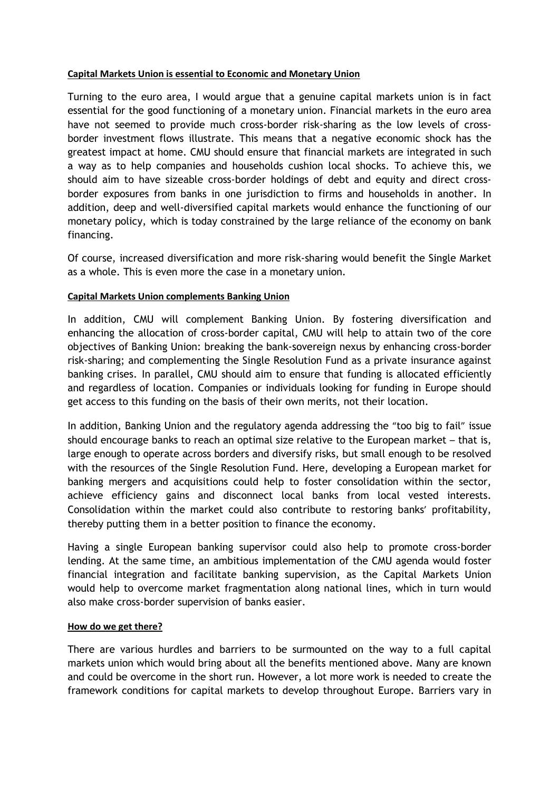## **Capital Markets Union is essential to Economic and Monetary Union**

Turning to the euro area, I would argue that a genuine capital markets union is in fact essential for the good functioning of a monetary union. Financial markets in the euro area have not seemed to provide much cross-border risk-sharing as the low levels of crossborder investment flows illustrate. This means that a negative economic shock has the greatest impact at home. CMU should ensure that financial markets are integrated in such a way as to help companies and households cushion local shocks. To achieve this, we should aim to have sizeable cross-border holdings of debt and equity and direct crossborder exposures from banks in one jurisdiction to firms and households in another. In addition, deep and well-diversified capital markets would enhance the functioning of our monetary policy, which is today constrained by the large reliance of the economy on bank financing.

Of course, increased diversification and more risk-sharing would benefit the Single Market as a whole. This is even more the case in a monetary union.

## **Capital Markets Union complements Banking Union**

In addition, CMU will complement Banking Union. By fostering diversification and enhancing the allocation of cross-border capital, CMU will help to attain two of the core objectives of Banking Union: breaking the bank-sovereign nexus by enhancing cross-border risk-sharing; and complementing the Single Resolution Fund as a private insurance against banking crises. In parallel, CMU should aim to ensure that funding is allocated efficiently and regardless of location. Companies or individuals looking for funding in Europe should get access to this funding on the basis of their own merits, not their location.

In addition, Banking Union and the regulatory agenda addressing the "too big to fail" issue should encourage banks to reach an optimal size relative to the European market – that is, large enough to operate across borders and diversify risks, but small enough to be resolved with the resources of the Single Resolution Fund. Here, developing a European market for banking mergers and acquisitions could help to foster consolidation within the sector, achieve efficiency gains and disconnect local banks from local vested interests. Consolidation within the market could also contribute to restoring banks' profitability, thereby putting them in a better position to finance the economy.

Having a single European banking supervisor could also help to promote cross-border lending. At the same time, an ambitious implementation of the CMU agenda would foster financial integration and facilitate banking supervision, as the Capital Markets Union would help to overcome market fragmentation along national lines, which in turn would also make cross-border supervision of banks easier.

#### **How do we get there?**

There are various hurdles and barriers to be surmounted on the way to a full capital markets union which would bring about all the benefits mentioned above. Many are known and could be overcome in the short run. However, a lot more work is needed to create the framework conditions for capital markets to develop throughout Europe. Barriers vary in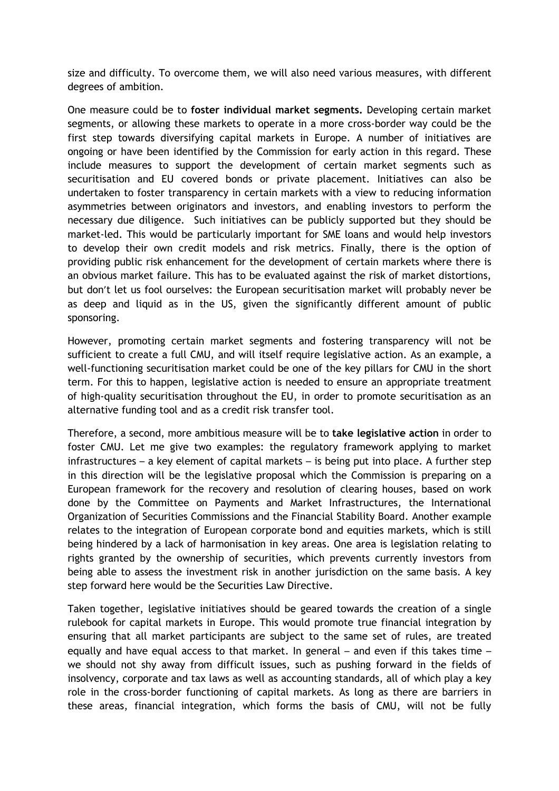size and difficulty. To overcome them, we will also need various measures, with different degrees of ambition.

One measure could be to **foster individual market segments.** Developing certain market segments, or allowing these markets to operate in a more cross-border way could be the first step towards diversifying capital markets in Europe. A number of initiatives are ongoing or have been identified by the Commission for early action in this regard. These include measures to support the development of certain market segments such as securitisation and EU covered bonds or private placement. Initiatives can also be undertaken to foster transparency in certain markets with a view to reducing information asymmetries between originators and investors, and enabling investors to perform the necessary due diligence. Such initiatives can be publicly supported but they should be market-led. This would be particularly important for SME loans and would help investors to develop their own credit models and risk metrics. Finally, there is the option of providing public risk enhancement for the development of certain markets where there is an obvious market failure. This has to be evaluated against the risk of market distortions, but don't let us fool ourselves: the European securitisation market will probably never be as deep and liquid as in the US, given the significantly different amount of public sponsoring.

However, promoting certain market segments and fostering transparency will not be sufficient to create a full CMU, and will itself require legislative action. As an example, a well-functioning securitisation market could be one of the key pillars for CMU in the short term. For this to happen, legislative action is needed to ensure an appropriate treatment of high-quality securitisation throughout the EU, in order to promote securitisation as an alternative funding tool and as a credit risk transfer tool.

Therefore, a second, more ambitious measure will be to **take legislative action** in order to foster CMU. Let me give two examples: the regulatory framework applying to market infrastructures – a key element of capital markets – is being put into place. A further step in this direction will be the legislative proposal which the Commission is preparing on a European framework for the recovery and resolution of clearing houses, based on work done by the Committee on Payments and Market Infrastructures, the International Organization of Securities Commissions and the Financial Stability Board. Another example relates to the integration of European corporate bond and equities markets, which is still being hindered by a lack of harmonisation in key areas. One area is legislation relating to rights granted by the ownership of securities, which prevents currently investors from being able to assess the investment risk in another jurisdiction on the same basis. A key step forward here would be the Securities Law Directive.

Taken together, legislative initiatives should be geared towards the creation of a single rulebook for capital markets in Europe. This would promote true financial integration by ensuring that all market participants are subject to the same set of rules, are treated equally and have equal access to that market. In general – and even if this takes time – we should not shy away from difficult issues, such as pushing forward in the fields of insolvency, corporate and tax laws as well as accounting standards, all of which play a key role in the cross-border functioning of capital markets. As long as there are barriers in these areas, financial integration, which forms the basis of CMU, will not be fully